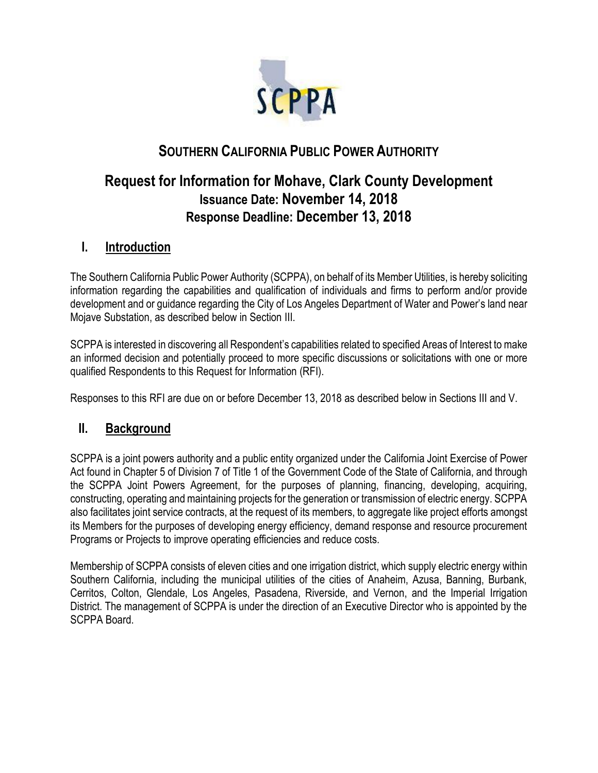

# **SOUTHERN CALIFORNIA PUBLIC POWER AUTHORITY**

# **Request for Information for Mohave, Clark County Development Issuance Date: November 14, 2018 Response Deadline: December 13, 2018**

### **I. Introduction**

The Southern California Public Power Authority (SCPPA), on behalf of its Member Utilities, is hereby soliciting information regarding the capabilities and qualification of individuals and firms to perform and/or provide development and or guidance regarding the City of Los Angeles Department of Water and Power's land near Mojave Substation, as described below in Section III.

SCPPA is interested in discovering all Respondent's capabilities related to specified Areas of Interest to make an informed decision and potentially proceed to more specific discussions or solicitations with one or more qualified Respondents to this Request for Information (RFI).

Responses to this RFI are due on or before December 13, 2018 as described below in Sections III and V.

### **II. Background**

SCPPA is a joint powers authority and a public entity organized under the California Joint Exercise of Power Act found in Chapter 5 of Division 7 of Title 1 of the Government Code of the State of California, and through the SCPPA Joint Powers Agreement, for the purposes of planning, financing, developing, acquiring, constructing, operating and maintaining projects for the generation or transmission of electric energy. SCPPA also facilitates joint service contracts, at the request of its members, to aggregate like project efforts amongst its Members for the purposes of developing energy efficiency, demand response and resource procurement Programs or Projects to improve operating efficiencies and reduce costs.

Membership of SCPPA consists of eleven cities and one irrigation district, which supply electric energy within Southern California, including the municipal utilities of the cities of Anaheim, Azusa, Banning, Burbank, Cerritos, Colton, Glendale, Los Angeles, Pasadena, Riverside, and Vernon, and the Imperial Irrigation District. The management of SCPPA is under the direction of an Executive Director who is appointed by the SCPPA Board.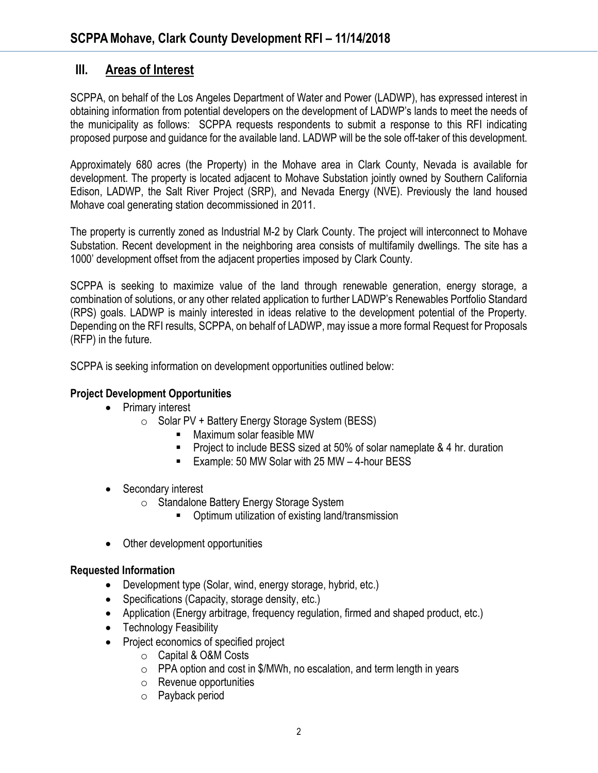### **III. Areas of Interest**

SCPPA, on behalf of the Los Angeles Department of Water and Power (LADWP), has expressed interest in obtaining information from potential developers on the development of LADWP's lands to meet the needs of the municipality as follows: SCPPA requests respondents to submit a response to this RFI indicating proposed purpose and guidance for the available land. LADWP will be the sole off-taker of this development.

Approximately 680 acres (the Property) in the Mohave area in Clark County, Nevada is available for development. The property is located adjacent to Mohave Substation jointly owned by Southern California Edison, LADWP, the Salt River Project (SRP), and Nevada Energy (NVE). Previously the land housed Mohave coal generating station decommissioned in 2011.

The property is currently zoned as Industrial M-2 by Clark County. The project will interconnect to Mohave Substation. Recent development in the neighboring area consists of multifamily dwellings. The site has a 1000' development offset from the adjacent properties imposed by Clark County.

SCPPA is seeking to maximize value of the land through renewable generation, energy storage, a combination of solutions, or any other related application to further LADWP's Renewables Portfolio Standard (RPS) goals. LADWP is mainly interested in ideas relative to the development potential of the Property. Depending on the RFI results, SCPPA, on behalf of LADWP, may issue a more formal Request for Proposals (RFP) in the future.

SCPPA is seeking information on development opportunities outlined below:

#### **Project Development Opportunities**

- Primary interest
	- o Solar PV + Battery Energy Storage System (BESS)
		- Maximum solar feasible MW
		- Project to include BESS sized at 50% of solar nameplate & 4 hr. duration
		- Example: 50 MW Solar with 25 MW 4-hour BESS
- Secondary interest
	- o Standalone Battery Energy Storage System
		- Optimum utilization of existing land/transmission
- Other development opportunities

#### **Requested Information**

- Development type (Solar, wind, energy storage, hybrid, etc.)
- Specifications (Capacity, storage density, etc.)
- Application (Energy arbitrage, frequency regulation, firmed and shaped product, etc.)
- Technology Feasibility
- Project economics of specified project
	- o Capital & O&M Costs
	- $\circ$  PPA option and cost in \$/MWh, no escalation, and term length in years
	- o Revenue opportunities
	- o Payback period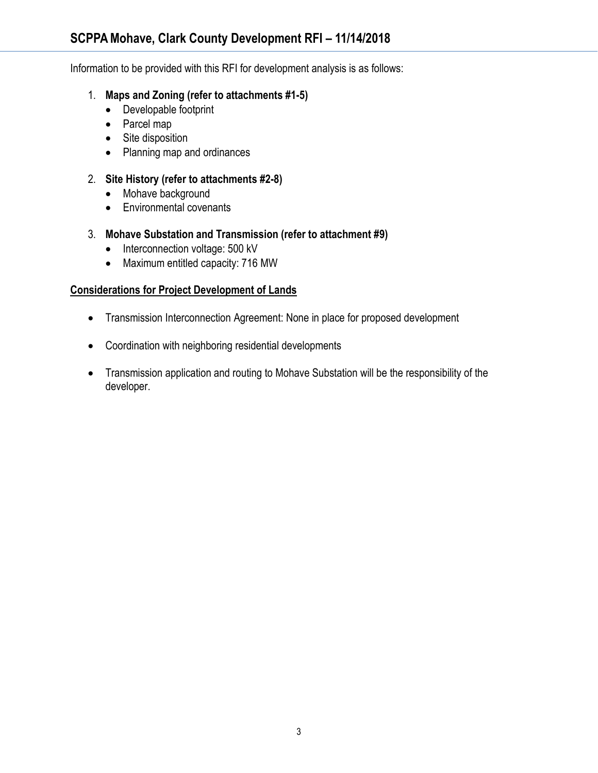Information to be provided with this RFI for development analysis is as follows:

- 1. **Maps and Zoning (refer to attachments #1-5)**
	- Developable footprint
	- Parcel map
	- Site disposition
	- Planning map and ordinances

#### 2. **Site History (refer to attachments #2-8)**

- Mohave background
- Environmental covenants
- 3. **Mohave Substation and Transmission (refer to attachment #9)**
	- Interconnection voltage: 500 kV
	- Maximum entitled capacity: 716 MW

#### **Considerations for Project Development of Lands**

- Transmission Interconnection Agreement: None in place for proposed development
- Coordination with neighboring residential developments
- Transmission application and routing to Mohave Substation will be the responsibility of the developer.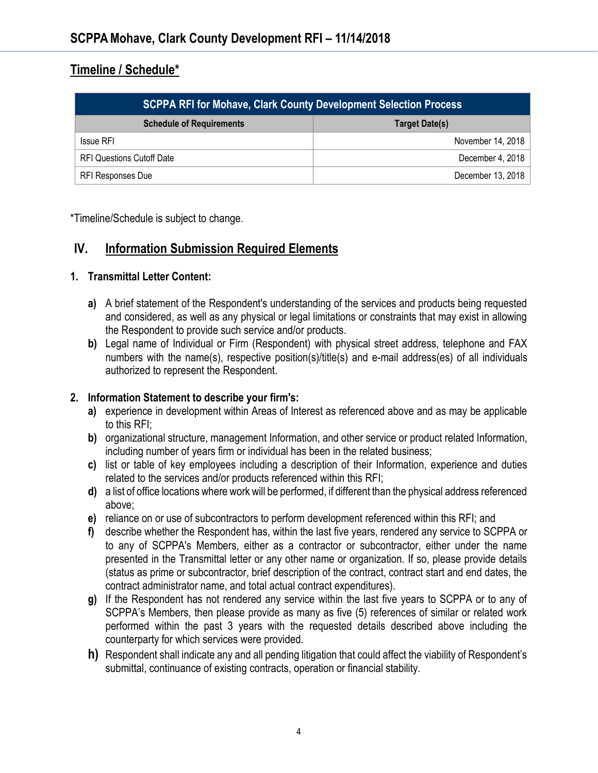### **Timeline / Schedule\***

| <b>SCPPA RFI for Mohave, Clark County Development Selection Process</b> |                       |
|-------------------------------------------------------------------------|-----------------------|
| <b>Schedule of Requirements</b>                                         | <b>Target Date(s)</b> |
| <b>Issue RFI</b>                                                        | November 14, 2018     |
| <b>RFI Questions Cutoff Date</b>                                        | December 4, 2018      |
| RFI Responses Due                                                       | December 13, 2018     |

\*Timeline/Schedule is subject to change.

### **IV. Information Submission Required Elements**

#### **1. Transmittal Letter Content:**

- **a)** A brief statement of the Respondent's understanding of the services and products being requested and considered, as well as any physical or legal limitations or constraints that may exist in allowing the Respondent to provide such service and/or products.
- **b)** Legal name of Individual or Firm (Respondent) with physical street address, telephone and FAX numbers with the name(s), respective position(s)/title(s) and e-mail address(es) of all individuals authorized to represent the Respondent.

#### **2. Information Statement to describe your firm's:**

- **a)** experience in development within Areas of Interest as referenced above and as may be applicable to this RFI;
- **b)** organizational structure, management Information, and other service or product related Information, including number of years firm or individual has been in the related business;
- **c)** list or table of key employees including a description of their Information, experience and duties related to the services and/or products referenced within this RFI;
- **d)** a list of office locations where work will be performed, if different than the physical address referenced above;
- **e)** reliance on or use of subcontractors to perform development referenced within this RFI; and
- **f)** describe whether the Respondent has, within the last five years, rendered any service to SCPPA or to any of SCPPA's Members, either as a contractor or subcontractor, either under the name presented in the Transmittal letter or any other name or organization. If so, please provide details (status as prime or subcontractor, brief description of the contract, contract start and end dates, the contract administrator name, and total actual contract expenditures).
- **g)** If the Respondent has not rendered any service within the last five years to SCPPA or to any of SCPPA's Members, then please provide as many as five (5) references of similar or related work performed within the past 3 years with the requested details described above including the counterparty for which services were provided.
- **h)** Respondent shall indicate any and all pending litigation that could affect the viability of Respondent's submittal, continuance of existing contracts, operation or financial stability.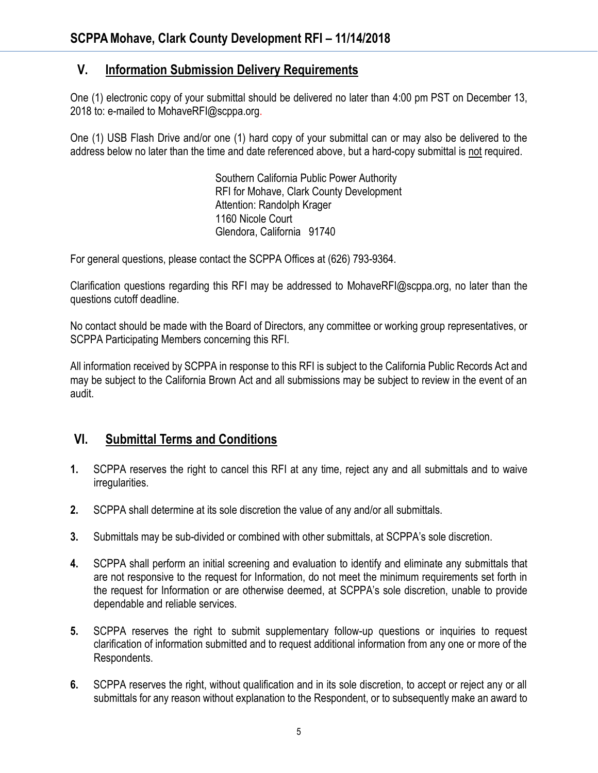### **V. Information Submission Delivery Requirements**

One (1) electronic copy of your submittal should be delivered no later than 4:00 pm PST on December 13, 2018 to: e-mailed to MohaveRFI@scppa.org.

One (1) USB Flash Drive and/or one (1) hard copy of your submittal can or may also be delivered to the address below no later than the time and date referenced above, but a hard-copy submittal is not required.

> Southern California Public Power Authority RFI for Mohave, Clark County Development Attention: Randolph Krager 1160 Nicole Court Glendora, California 91740

For general questions, please contact the SCPPA Offices at (626) 793-9364.

Clarification questions regarding this RFI may be addressed to MohaveRFI@scppa.org, no later than the questions cutoff deadline.

No contact should be made with the Board of Directors, any committee or working group representatives, or SCPPA Participating Members concerning this RFI.

All information received by SCPPA in response to this RFI is subject to the California Public Records Act and may be subject to the California Brown Act and all submissions may be subject to review in the event of an audit.

## **VI. Submittal Terms and Conditions**

- **1.** SCPPA reserves the right to cancel this RFI at any time, reject any and all submittals and to waive irregularities.
- **2.** SCPPA shall determine at its sole discretion the value of any and/or all submittals.
- **3.** Submittals may be sub-divided or combined with other submittals, at SCPPA's sole discretion.
- **4.** SCPPA shall perform an initial screening and evaluation to identify and eliminate any submittals that are not responsive to the request for Information, do not meet the minimum requirements set forth in the request for Information or are otherwise deemed, at SCPPA's sole discretion, unable to provide dependable and reliable services.
- **5.** SCPPA reserves the right to submit supplementary follow-up questions or inquiries to request clarification of information submitted and to request additional information from any one or more of the Respondents.
- **6.** SCPPA reserves the right, without qualification and in its sole discretion, to accept or reject any or all submittals for any reason without explanation to the Respondent, or to subsequently make an award to